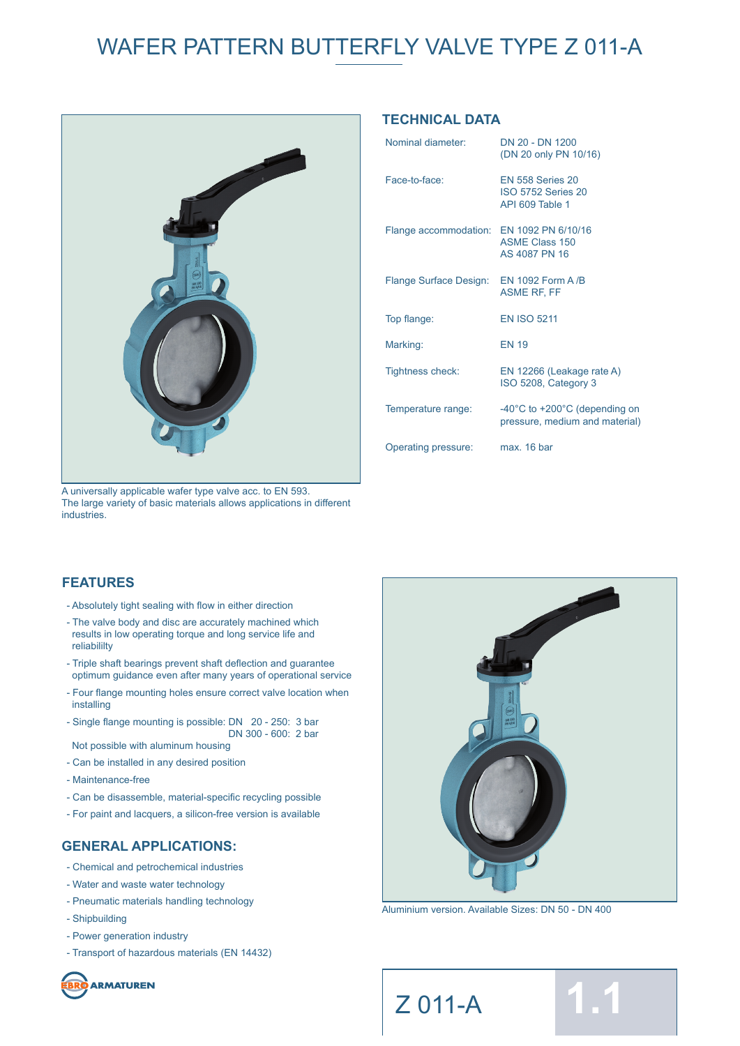

A universally applicable wafer type valve acc. to EN 593. The large variety of basic materials allows applications in different industries.

## **TECHNICAL DATA**

| Nominal diameter:                        | DN 20 - DN 1200<br>(DN 20 only PN 10/16)                                            |
|------------------------------------------|-------------------------------------------------------------------------------------|
| Face-to-face:                            | <b>EN 558 Series 20</b><br><b>ISO 5752 Series 20</b><br>API 609 Table 1             |
| Flange accommodation: EN 1092 PN 6/10/16 | <b>ASME Class 150</b><br>AS 4087 PN 16                                              |
| Flange Surface Design:                   | EN 1092 Form A /B<br><b>ASME RF, FF</b>                                             |
| Top flange:                              | <b>EN ISO 5211</b>                                                                  |
| Marking:                                 | <b>EN 19</b>                                                                        |
| <b>Tightness check:</b>                  | EN 12266 (Leakage rate A)<br>ISO 5208, Category 3                                   |
| Temperature range:                       | $-40^{\circ}$ C to $+200^{\circ}$ C (depending on<br>pressure, medium and material) |
| Operating pressure:                      | max. 16 bar                                                                         |

### **FEATURES**

- Absolutely tight sealing with flow in either direction
- The valve body and disc are accurately machined which results in low operating torque and long service life and reliabililty
- Triple shaft bearings prevent shaft deflection and guarantee optimum guidance even after many years of operational service
- Four flange mounting holes ensure correct valve location when installing
- Single flange mounting is possible: DN 20 250: 3 bar DN 300 - 600: 2 bar Not possible with aluminum housing
- Can be installed in any desired position
- Maintenance-free
- Can be disassemble, material-specific recycling possible
- For paint and lacquers, a silicon-free version is available

#### **GENERAL APPLICATIONS:**

- Chemical and petrochemical industries
- Water and waste water technology
- Pneumatic materials handling technology
- Shipbuilding
- Power generation industry
- Transport of hazardous materials (EN 14432)

**ARMATUREN** 



Aluminium version. Available Sizes: DN 50 - DN 400

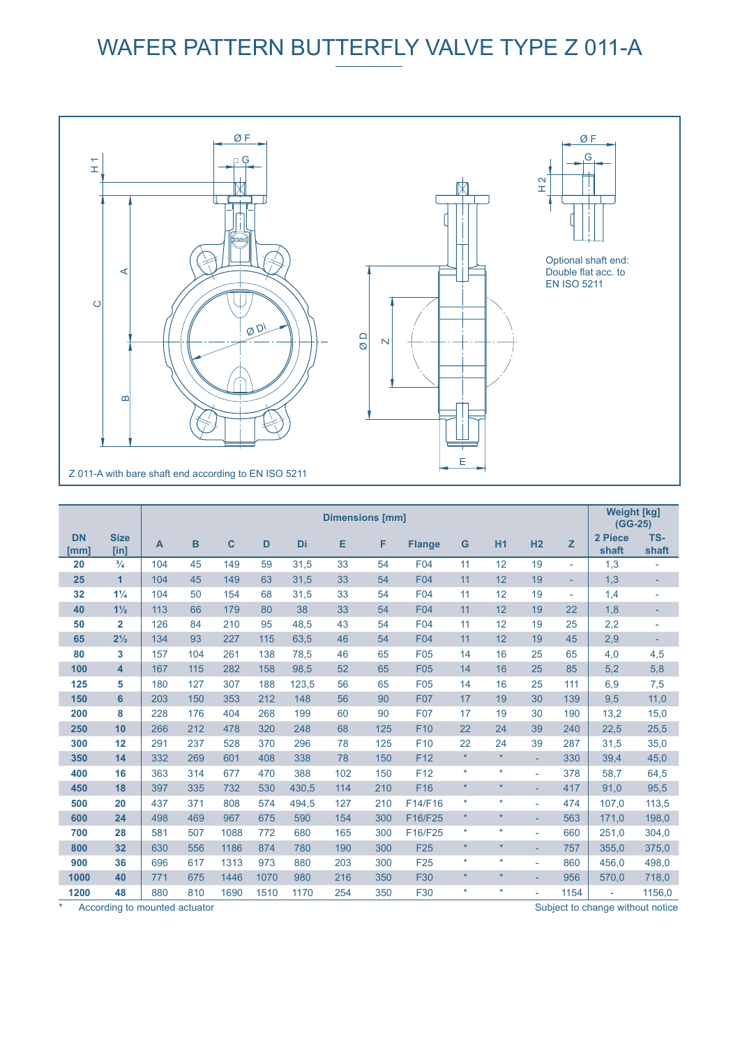

|                   |                     | <b>Dimensions [mm]</b> |     |              |      |       |     |     |                 |         | <b>Weight [kg]</b><br>$(GG-25)$ |                |                          |                          |                          |
|-------------------|---------------------|------------------------|-----|--------------|------|-------|-----|-----|-----------------|---------|---------------------------------|----------------|--------------------------|--------------------------|--------------------------|
| <b>DN</b><br>[mm] | <b>Size</b><br>[in] | A                      | B   | $\mathbf{C}$ | D    | Di    | Е   | F   | <b>Flange</b>   | G       | H <sub>1</sub>                  | H <sub>2</sub> | z                        | 2 Piece<br>shaft         | TS-<br>shaft             |
| 20                | $^{3}/_{4}$         | 104                    | 45  | 149          | 59   | 31,5  | 33  | 54  | F04             | 11      | 12                              | 19             | $\overline{\phantom{a}}$ | 1,3                      | ÷,                       |
| 25                | $\overline{1}$      | 104                    | 45  | 149          | 63   | 31,5  | 33  | 54  | <b>F04</b>      | 11      | 12                              | 19             | ٠                        | 1,3                      | $\overline{\phantom{a}}$ |
| 32                | $1\frac{1}{4}$      | 104                    | 50  | 154          | 68   | 31,5  | 33  | 54  | <b>F04</b>      | 11      | 12                              | 19             | $\blacksquare$           | 1,4                      | $\overline{a}$           |
| 40                | $1\frac{1}{2}$      | 113                    | 66  | 179          | 80   | 38    | 33  | 54  | <b>F04</b>      | 11      | 12                              | 19             | 22                       | 1,8                      | ٠                        |
| 50                | $\overline{2}$      | 126                    | 84  | 210          | 95   | 48,5  | 43  | 54  | F04             | 11      | 12                              | 19             | 25                       | 2,2                      | $\overline{\phantom{a}}$ |
| 65                | $2\frac{1}{2}$      | 134                    | 93  | 227          | 115  | 63,5  | 46  | 54  | <b>F04</b>      | 11      | 12                              | 19             | 45                       | 2,9                      |                          |
| 80                | 3                   | 157                    | 104 | 261          | 138  | 78,5  | 46  | 65  | F <sub>05</sub> | 14      | 16                              | 25             | 65                       | 4,0                      | 4,5                      |
| 100               | 4                   | 167                    | 115 | 282          | 158  | 98.5  | 52  | 65  | <b>F05</b>      | 14      | 16                              | 25             | 85                       | 5,2                      | 5,8                      |
| 125               | 5                   | 180                    | 127 | 307          | 188  | 123,5 | 56  | 65  | F <sub>05</sub> | 14      | 16                              | 25             | 111                      | 6,9                      | 7,5                      |
| 150               | 6                   | 203                    | 150 | 353          | 212  | 148   | 56  | 90  | <b>F07</b>      | 17      | 19                              | 30             | 139                      | 9,5                      | 11,0                     |
| 200               | 8                   | 228                    | 176 | 404          | 268  | 199   | 60  | 90  | <b>F07</b>      | 17      | 19                              | 30             | 190                      | 13,2                     | 15,0                     |
| 250               | 10                  | 266                    | 212 | 478          | 320  | 248   | 68  | 125 | F <sub>10</sub> | 22      | 24                              | 39             | 240                      | 22,5                     | 25,5                     |
| 300               | 12                  | 291                    | 237 | 528          | 370  | 296   | 78  | 125 | F <sub>10</sub> | 22      | 24                              | 39             | 287                      | 31,5                     | 35,0                     |
| 350               | 14                  | 332                    | 269 | 601          | 408  | 338   | 78  | 150 | F <sub>12</sub> | $\star$ | $\star$                         |                | 330                      | 39,4                     | 45,0                     |
| 400               | 16                  | 363                    | 314 | 677          | 470  | 388   | 102 | 150 | F <sub>12</sub> | $\star$ | $\star$                         | $\sim$         | 378                      | 58,7                     | 64,5                     |
| 450               | 18                  | 397                    | 335 | 732          | 530  | 430,5 | 114 | 210 | F16             | $\star$ | $\star$                         | ÷              | 417                      | 91,0                     | 95,5                     |
| 500               | 20                  | 437                    | 371 | 808          | 574  | 494,5 | 127 | 210 | F14/F16         | ¥       | $\star$                         | ٠              | 474                      | 107,0                    | 113,5                    |
| 600               | 24                  | 498                    | 469 | 967          | 675  | 590   | 154 | 300 | F16/F25         | $\star$ | $\star$                         | ٠              | 563                      | 171,0                    | 198,0                    |
| 700               | 28                  | 581                    | 507 | 1088         | 772  | 680   | 165 | 300 | F16/F25         | ÷       | $\star$                         | L,             | 660                      | 251,0                    | 304,0                    |
| 800               | 32                  | 630                    | 556 | 1186         | 874  | 780   | 190 | 300 | <b>F25</b>      | $\star$ | $\star$                         |                | 757                      | 355.0                    | 375,0                    |
| 900               | 36                  | 696                    | 617 | 1313         | 973  | 880   | 203 | 300 | F <sub>25</sub> | ÷       | $\star$                         | ٠              | 860                      | 456,0                    | 498,0                    |
| 1000              | 40                  | 771                    | 675 | 1446         | 1070 | 980   | 216 | 350 | <b>F30</b>      | $\star$ | $\star$                         |                | 956                      | 570,0                    | 718,0                    |
| 1200              | 48                  | 880                    | 810 | 1690         | 1510 | 1170  | 254 | 350 | F30             | ÷       | $\star$                         | ٠              | 1154                     | $\overline{\phantom{a}}$ | 1156,0                   |

\* According to mounted actuator

Subject to change without notice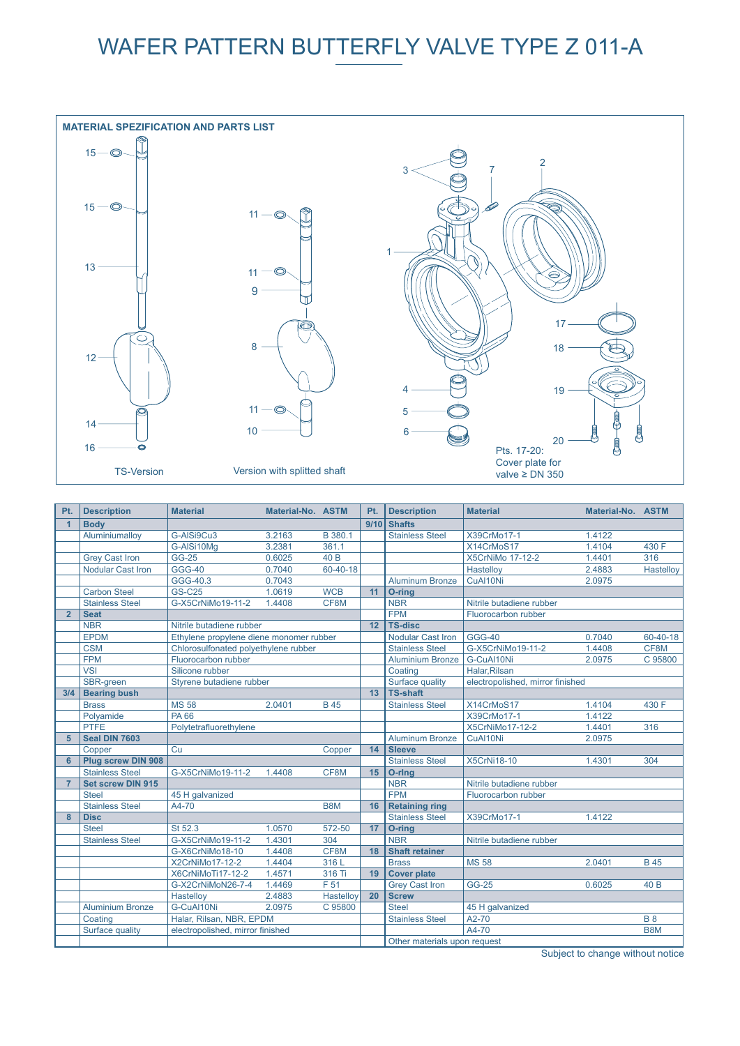

| Pt.            | <b>Description</b>       | <b>Material</b>                         | Material-No. ASTM |            | Pt.             | <b>Description</b>           | <b>Material</b>                  | Material-No. ASTM |                 |
|----------------|--------------------------|-----------------------------------------|-------------------|------------|-----------------|------------------------------|----------------------------------|-------------------|-----------------|
| $\overline{1}$ | <b>Body</b>              |                                         |                   |            | 9/10            | <b>Shafts</b>                |                                  |                   |                 |
|                | Aluminiumallov           | G-AISi9Cu3                              | 3.2163            | B 380.1    |                 | <b>Stainless Steel</b>       | X39CrMo17-1                      | 1.4122            |                 |
|                |                          | G-AlSi10Mq                              | 3.2381            | 361.1      |                 |                              | X14CrMoS17                       | 1.4104            | 430 F           |
|                | <b>Grey Cast Iron</b>    | <b>GG-25</b>                            | 0.6025            | 40 B       |                 |                              | X5CrNiMo 17-12-2                 | 1.4401            | 316             |
|                | <b>Nodular Cast Iron</b> | <b>GGG-40</b>                           | 0.7040            | 60-40-18   |                 |                              | Hastelloy                        | 2.4883            | Hastellov       |
|                |                          | GGG-40.3                                | 0.7043            |            |                 | <b>Aluminum Bronze</b>       | CuAl10Ni                         | 2.0975            |                 |
|                | <b>Carbon Steel</b>      | <b>GS-C25</b>                           | 1.0619            | <b>WCB</b> | 11              | O-ring                       |                                  |                   |                 |
|                | <b>Stainless Steel</b>   | G-X5CrNiMo19-11-2                       | 1.4408            | CF8M       |                 | <b>NBR</b>                   | Nitrile butadiene rubber         |                   |                 |
| $\overline{2}$ | <b>Seat</b>              |                                         |                   |            |                 | <b>FPM</b>                   | Fluorocarbon rubber              |                   |                 |
|                | <b>NBR</b>               | Nitrile butadiene rubber                |                   |            | 12              | <b>TS-disc</b>               |                                  |                   |                 |
|                | <b>EPDM</b>              | Ethylene propylene diene monomer rubber |                   |            |                 | <b>Nodular Cast Iron</b>     | <b>GGG-40</b>                    | 0.7040            | 60-40-18        |
|                | <b>CSM</b>               | Chlorosulfonated polyethylene rubber    |                   |            |                 | <b>Stainless Steel</b>       | G-X5CrNiMo19-11-2                | 1.4408            | CF8M            |
|                | <b>FPM</b>               | Fluorocarbon rubber                     |                   |            |                 | <b>Aluminium Bronze</b>      | G-CuAl10Ni                       | 2.0975            | C 95800         |
|                | <b>VSI</b>               | Silicone rubber                         |                   |            |                 | Coating                      | Halar.Rilsan                     |                   |                 |
|                | SBR-green                | Styrene butadiene rubber                |                   |            |                 | Surface quality              | electropolished, mirror finished |                   |                 |
| 3/4            | <b>Bearing bush</b>      |                                         |                   |            | 13              | <b>TS-shaft</b>              |                                  |                   |                 |
|                | <b>Brass</b>             | <b>MS 58</b>                            | 2.0401            | <b>B45</b> |                 | <b>Stainless Steel</b>       | X14CrMoS17                       | 1.4104            | 430 F           |
|                | Polyamide                | <b>PA66</b>                             |                   |            |                 |                              | X39CrMo17-1                      | 1.4122            |                 |
|                | <b>PTFE</b>              | Polytetrafluorethylene                  |                   |            |                 |                              | X5CrNiMo17-12-2                  | 1.4401            | 316             |
| 5              | <b>Seal DIN 7603</b>     |                                         |                   |            |                 | <b>Aluminum Bronze</b>       | CuAl10Ni                         | 2.0975            |                 |
|                | Copper                   | Cu                                      |                   | Copper     | 14              | <b>Sleeve</b>                |                                  |                   |                 |
| 6              | Plug screw DIN 908       |                                         |                   |            |                 | <b>Stainless Steel</b>       | <b>X5CrNi18-10</b>               | 1.4301            | 304             |
|                | <b>Stainless Steel</b>   | G-X5CrNiMo19-11-2                       | 1.4408            | CF8M       | 15 <sub>1</sub> | O-ring                       |                                  |                   |                 |
| $\overline{7}$ | <b>Set screw DIN 915</b> |                                         |                   |            |                 | <b>NBR</b>                   | Nitrile butadiene rubber         |                   |                 |
|                | <b>Steel</b>             | 45 H galvanized                         |                   |            |                 | <b>FPM</b>                   | Fluorocarbon rubber              |                   |                 |
|                | <b>Stainless Steel</b>   | A4-70                                   |                   | B8M        | 16              | <b>Retaining ring</b>        |                                  |                   |                 |
| $\mathbf{8}$   | <b>Disc</b>              |                                         |                   |            |                 | <b>Stainless Steel</b>       | X39CrMo17-1                      | 1.4122            |                 |
|                | <b>Steel</b>             | St 52.3                                 | 1.0570            | 572-50     | 17              | O-ring                       |                                  |                   |                 |
|                | <b>Stainless Steel</b>   | G-X5CrNiMo19-11-2                       | 1.4301            | 304        |                 | <b>NBR</b>                   | Nitrile butadiene rubber         |                   |                 |
|                |                          | G-X6CrNiMo18-10                         | 1.4408            | CF8M       | 18              | <b>Shaft retainer</b>        |                                  |                   |                 |
|                |                          | X2CrNiMo17-12-2                         | 1.4404            | 316L       |                 | <b>Brass</b>                 | <b>MS58</b>                      | 2.0401            | <b>B</b> 45     |
|                |                          | X6CrNiMoTi17-12-2                       | 1.4571            | 316 Ti     | 19              | <b>Cover plate</b>           |                                  |                   |                 |
|                |                          | G-X2CrNiMoN26-7-4                       | 1.4469            | F 51       |                 | <b>Grey Cast Iron</b>        | <b>GG-25</b>                     | 0.6025            | 40 <sub>B</sub> |
|                |                          | <b>Hastellov</b>                        | 2.4883            | Hastelloy  | 20              | <b>Screw</b>                 |                                  |                   |                 |
|                | <b>Aluminium Bronze</b>  | G-CuAl10Ni                              | 2.0975            | C 95800    |                 | <b>Steel</b>                 | 45 H galvanized                  |                   |                 |
|                | Coating                  | Halar, Rilsan, NBR, EPDM                |                   |            |                 | <b>Stainless Steel</b>       | A2-70                            |                   | <b>B</b> 8      |
|                | Surface quality          | electropolished, mirror finished        |                   |            |                 |                              | A4-70                            |                   | B8M             |
|                |                          |                                         |                   |            |                 | Other materials upon request |                                  |                   |                 |

Subject to change without notice